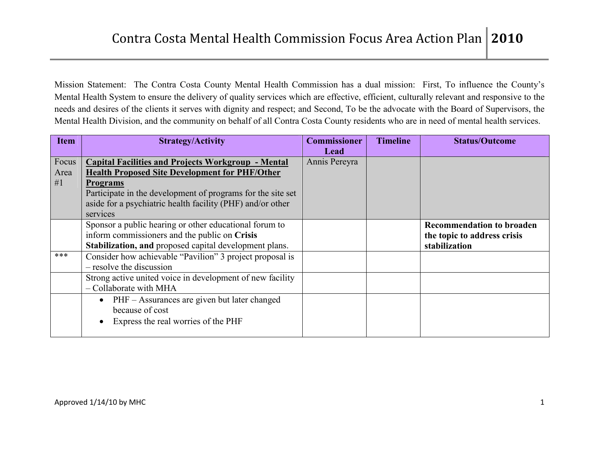Mission Statement: The Contra Costa County Mental Health Commission has a dual mission: First, To influence the County's Mental Health System to ensure the delivery of quality services which are effective, efficient, culturally relevant and responsive to the needs and desires of the clients it serves with dignity and respect; and Second, To be the advocate with the Board of Supervisors, the Mental Health Division, and the community on behalf of all Contra Costa County residents who are in need of mental health services.

| <b>Item</b> | <b>Strategy/Activity</b>                                    | <b>Commissioner</b> | <b>Timeline</b> | <b>Status/Outcome</b>            |
|-------------|-------------------------------------------------------------|---------------------|-----------------|----------------------------------|
|             |                                                             | Lead                |                 |                                  |
| Focus       | <b>Capital Facilities and Projects Workgroup - Mental</b>   | Annis Pereyra       |                 |                                  |
| Area        | <b>Health Proposed Site Development for PHF/Other</b>       |                     |                 |                                  |
| #1          | <b>Programs</b>                                             |                     |                 |                                  |
|             | Participate in the development of programs for the site set |                     |                 |                                  |
|             | aside for a psychiatric health facility (PHF) and/or other  |                     |                 |                                  |
|             | services                                                    |                     |                 |                                  |
|             | Sponsor a public hearing or other educational forum to      |                     |                 | <b>Recommendation to broaden</b> |
|             | inform commissioners and the public on Crisis               |                     |                 | the topic to address crisis      |
|             | Stabilization, and proposed capital development plans.      |                     |                 | stabilization                    |
| ***         | Consider how achievable "Pavilion" 3 project proposal is    |                     |                 |                                  |
|             | - resolve the discussion                                    |                     |                 |                                  |
|             | Strong active united voice in development of new facility   |                     |                 |                                  |
|             | - Collaborate with MHA                                      |                     |                 |                                  |
|             | $\bullet$ PHF – Assurances are given but later changed      |                     |                 |                                  |
|             | because of cost                                             |                     |                 |                                  |
|             | Express the real worries of the PHF                         |                     |                 |                                  |
|             |                                                             |                     |                 |                                  |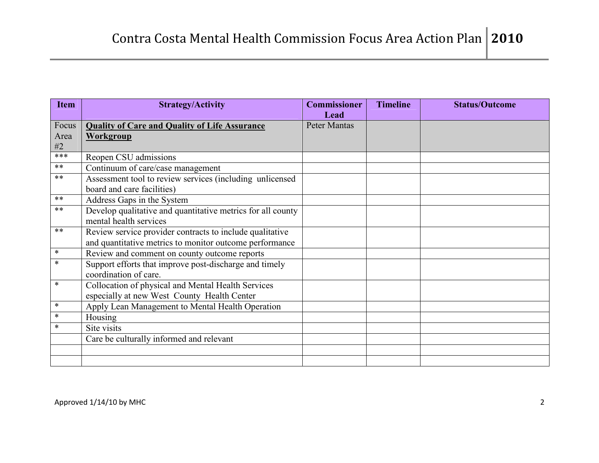| <b>Item</b> | <b>Strategy/Activity</b>                                    | <b>Commissioner</b> | <b>Timeline</b> | <b>Status/Outcome</b> |
|-------------|-------------------------------------------------------------|---------------------|-----------------|-----------------------|
|             |                                                             | Lead                |                 |                       |
| Focus       | <b>Quality of Care and Quality of Life Assurance</b>        | <b>Peter Mantas</b> |                 |                       |
| Area        | <b>Workgroup</b>                                            |                     |                 |                       |
| #2          |                                                             |                     |                 |                       |
| $***$       | Reopen CSU admissions                                       |                     |                 |                       |
| **          | Continuum of care/case management                           |                     |                 |                       |
| $***$       | Assessment tool to review services (including unlicensed    |                     |                 |                       |
|             | board and care facilities)                                  |                     |                 |                       |
| **          | Address Gaps in the System                                  |                     |                 |                       |
| $***$       | Develop qualitative and quantitative metrics for all county |                     |                 |                       |
|             | mental health services                                      |                     |                 |                       |
| $***$       | Review service provider contracts to include qualitative    |                     |                 |                       |
|             | and quantitative metrics to monitor outcome performance     |                     |                 |                       |
| $\ast$      | Review and comment on county outcome reports                |                     |                 |                       |
| $\ast$      | Support efforts that improve post-discharge and timely      |                     |                 |                       |
|             | coordination of care.                                       |                     |                 |                       |
| $\ast$      | Collocation of physical and Mental Health Services          |                     |                 |                       |
|             | especially at new West County Health Center                 |                     |                 |                       |
| $\ast$      | Apply Lean Management to Mental Health Operation            |                     |                 |                       |
| $\ast$      | Housing                                                     |                     |                 |                       |
| $\ast$      | Site visits                                                 |                     |                 |                       |
|             | Care be culturally informed and relevant                    |                     |                 |                       |
|             |                                                             |                     |                 |                       |
|             |                                                             |                     |                 |                       |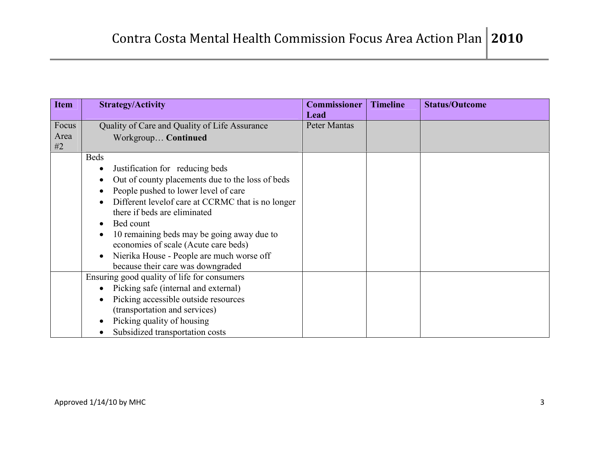| <b>Item</b> | <b>Strategy/Activity</b>                           | <b>Commissioner</b> | <b>Timeline</b> | <b>Status/Outcome</b> |
|-------------|----------------------------------------------------|---------------------|-----------------|-----------------------|
|             |                                                    | Lead                |                 |                       |
| Focus       | Quality of Care and Quality of Life Assurance      | Peter Mantas        |                 |                       |
| Area        | Workgroup Continued                                |                     |                 |                       |
| #2          |                                                    |                     |                 |                       |
|             | <b>Beds</b>                                        |                     |                 |                       |
|             | Justification for reducing beds                    |                     |                 |                       |
|             | Out of county placements due to the loss of beds   |                     |                 |                       |
|             | People pushed to lower level of care               |                     |                 |                       |
|             | Different level of care at CCRMC that is no longer |                     |                 |                       |
|             | there if beds are eliminated                       |                     |                 |                       |
|             | Bed count                                          |                     |                 |                       |
|             | 10 remaining beds may be going away due to         |                     |                 |                       |
|             | economies of scale (Acute care beds)               |                     |                 |                       |
|             | Nierika House - People are much worse off          |                     |                 |                       |
|             | because their care was downgraded                  |                     |                 |                       |
|             | Ensuring good quality of life for consumers        |                     |                 |                       |
|             | Picking safe (internal and external)               |                     |                 |                       |
|             | Picking accessible outside resources               |                     |                 |                       |
|             | (transportation and services)                      |                     |                 |                       |
|             | Picking quality of housing                         |                     |                 |                       |
|             | Subsidized transportation costs                    |                     |                 |                       |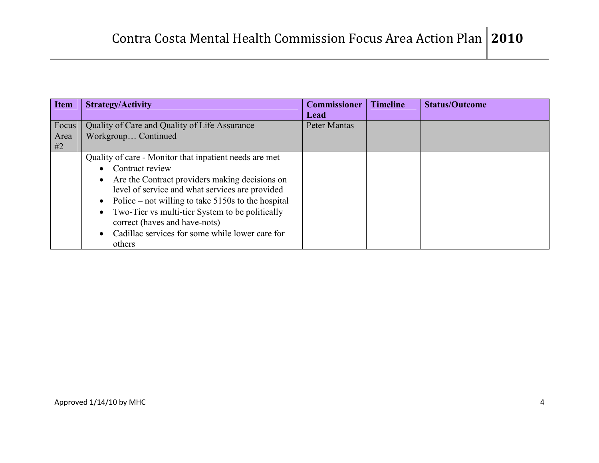| <b>Item</b>         | <b>Strategy/Activity</b>                                                                                                                                                                                                                                                                                                                                                                                                                    | <b>Commissioner</b><br>Lead | <b>Timeline</b> | <b>Status/Outcome</b> |
|---------------------|---------------------------------------------------------------------------------------------------------------------------------------------------------------------------------------------------------------------------------------------------------------------------------------------------------------------------------------------------------------------------------------------------------------------------------------------|-----------------------------|-----------------|-----------------------|
| Focus<br>Area<br>#2 | Quality of Care and Quality of Life Assurance<br>Workgroup Continued                                                                                                                                                                                                                                                                                                                                                                        | Peter Mantas                |                 |                       |
|                     | Quality of care - Monitor that inpatient needs are met<br>Contract review<br>$\bullet$<br>Are the Contract providers making decisions on<br>$\bullet$<br>level of service and what services are provided<br>Police – not willing to take $5150s$ to the hospital<br>$\bullet$<br>Two-Tier vs multi-tier System to be politically<br>correct (haves and have-nots)<br>Cadillac services for some while lower care for<br>$\bullet$<br>others |                             |                 |                       |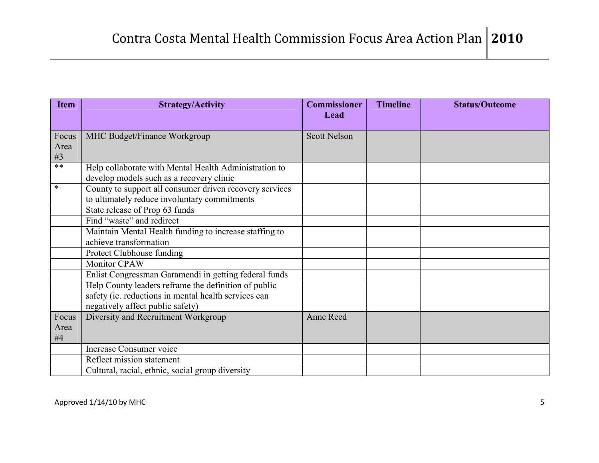| <b>Item</b> | <b>Strategy/Activity</b>                                | <b>Commissioner</b> | <b>Timeline</b> | <b>Status/Outcome</b> |
|-------------|---------------------------------------------------------|---------------------|-----------------|-----------------------|
|             |                                                         | Lead                |                 |                       |
| Focus       | MHC Budget/Finance Workgroup                            | <b>Scott Nelson</b> |                 |                       |
| Area        |                                                         |                     |                 |                       |
| #3          |                                                         |                     |                 |                       |
| $***$       | Help collaborate with Mental Health Administration to   |                     |                 |                       |
|             | develop models such as a recovery clinic                |                     |                 |                       |
| $\ast$      | County to support all consumer driven recovery services |                     |                 |                       |
|             | to ultimately reduce involuntary commitments            |                     |                 |                       |
|             | State release of Prop 63 funds                          |                     |                 |                       |
|             | Find "waste" and redirect                               |                     |                 |                       |
|             | Maintain Mental Health funding to increase staffing to  |                     |                 |                       |
|             | achieve transformation                                  |                     |                 |                       |
|             | Protect Clubhouse funding                               |                     |                 |                       |
|             | <b>Monitor CPAW</b>                                     |                     |                 |                       |
|             | Enlist Congressman Garamendi in getting federal funds   |                     |                 |                       |
|             | Help County leaders reframe the definition of public    |                     |                 |                       |
|             | safety (ie. reductions in mental health services can    |                     |                 |                       |
|             | negatively affect public safety)                        |                     |                 |                       |
| Focus       | Diversity and Recruitment Workgroup                     | Anne Reed           |                 |                       |
| Area<br>#4  |                                                         |                     |                 |                       |
|             | <b>Increase Consumer voice</b>                          |                     |                 |                       |
|             | Reflect mission statement                               |                     |                 |                       |
|             | Cultural, racial, ethnic, social group diversity        |                     |                 |                       |
|             |                                                         |                     |                 |                       |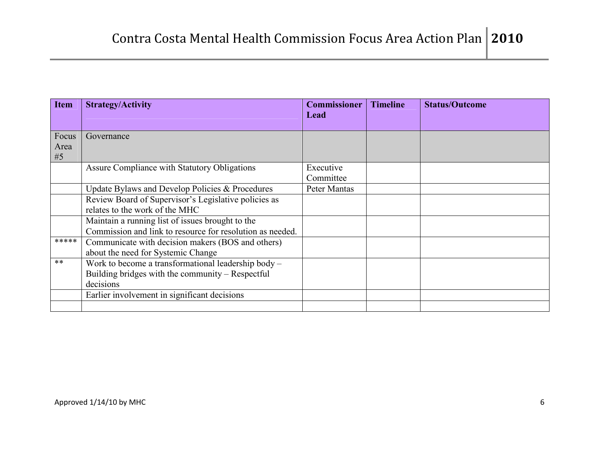| <b>Item</b> | <b>Strategy/Activity</b>                                  | <b>Commissioner</b> | <b>Timeline</b> | <b>Status/Outcome</b> |
|-------------|-----------------------------------------------------------|---------------------|-----------------|-----------------------|
|             |                                                           | Lead                |                 |                       |
| Focus       | Governance                                                |                     |                 |                       |
| Area        |                                                           |                     |                 |                       |
| #5          |                                                           |                     |                 |                       |
|             | Assure Compliance with Statutory Obligations              | Executive           |                 |                       |
|             |                                                           | Committee           |                 |                       |
|             | Update Bylaws and Develop Policies & Procedures           | Peter Mantas        |                 |                       |
|             | Review Board of Supervisor's Legislative policies as      |                     |                 |                       |
|             | relates to the work of the MHC                            |                     |                 |                       |
|             | Maintain a running list of issues brought to the          |                     |                 |                       |
|             | Commission and link to resource for resolution as needed. |                     |                 |                       |
| *****       | Communicate with decision makers (BOS and others)         |                     |                 |                       |
|             | about the need for Systemic Change                        |                     |                 |                       |
| $***$       | Work to become a transformational leadership body -       |                     |                 |                       |
|             | Building bridges with the community – Respectful          |                     |                 |                       |
|             | decisions                                                 |                     |                 |                       |
|             | Earlier involvement in significant decisions              |                     |                 |                       |
|             |                                                           |                     |                 |                       |